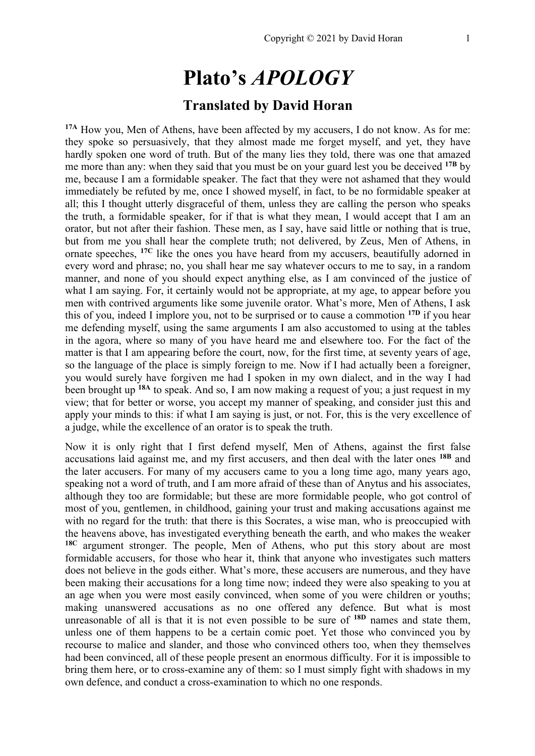# **Plato's** *APOLOGY*

## **Translated by David Horan**

**17A** How you, Men of Athens, have been affected by my accusers, I do not know. As for me: they spoke so persuasively, that they almost made me forget myself, and yet, they have hardly spoken one word of truth. But of the many lies they told, there was one that amazed me more than any: when they said that you must be on your guard lest you be deceived **17B** by me, because I am a formidable speaker. The fact that they were not ashamed that they would immediately be refuted by me, once I showed myself, in fact, to be no formidable speaker at all; this I thought utterly disgraceful of them, unless they are calling the person who speaks the truth, a formidable speaker, for if that is what they mean, I would accept that I am an orator, but not after their fashion. These men, as I say, have said little or nothing that is true, but from me you shall hear the complete truth; not delivered, by Zeus, Men of Athens, in ornate speeches, **17C** like the ones you have heard from my accusers, beautifully adorned in every word and phrase; no, you shall hear me say whatever occurs to me to say, in a random manner, and none of you should expect anything else, as I am convinced of the justice of what I am saying. For, it certainly would not be appropriate, at my age, to appear before you men with contrived arguments like some juvenile orator. What's more, Men of Athens, I ask this of you, indeed I implore you, not to be surprised or to cause a commotion **17D** if you hear me defending myself, using the same arguments I am also accustomed to using at the tables in the agora, where so many of you have heard me and elsewhere too. For the fact of the matter is that I am appearing before the court, now, for the first time, at seventy years of age, so the language of the place is simply foreign to me. Now if I had actually been a foreigner, you would surely have forgiven me had I spoken in my own dialect, and in the way I had been brought up **18A** to speak. And so, I am now making a request of you; a just request in my view; that for better or worse, you accept my manner of speaking, and consider just this and apply your minds to this: if what I am saying is just, or not. For, this is the very excellence of a judge, while the excellence of an orator is to speak the truth.

Now it is only right that I first defend myself, Men of Athens, against the first false accusations laid against me, and my first accusers, and then deal with the later ones **18B** and the later accusers. For many of my accusers came to you a long time ago, many years ago, speaking not a word of truth, and I am more afraid of these than of Anytus and his associates, although they too are formidable; but these are more formidable people, who got control of most of you, gentlemen, in childhood, gaining your trust and making accusations against me with no regard for the truth: that there is this Socrates, a wise man, who is preoccupied with the heavens above, has investigated everything beneath the earth, and who makes the weaker **18C** argument stronger. The people, Men of Athens, who put this story about are most formidable accusers, for those who hear it, think that anyone who investigates such matters does not believe in the gods either. What's more, these accusers are numerous, and they have been making their accusations for a long time now; indeed they were also speaking to you at an age when you were most easily convinced, when some of you were children or youths; making unanswered accusations as no one offered any defence. But what is most unreasonable of all is that it is not even possible to be sure of **18D** names and state them, unless one of them happens to be a certain comic poet. Yet those who convinced you by recourse to malice and slander, and those who convinced others too, when they themselves had been convinced, all of these people present an enormous difficulty. For it is impossible to bring them here, or to cross-examine any of them: so I must simply fight with shadows in my own defence, and conduct a cross-examination to which no one responds.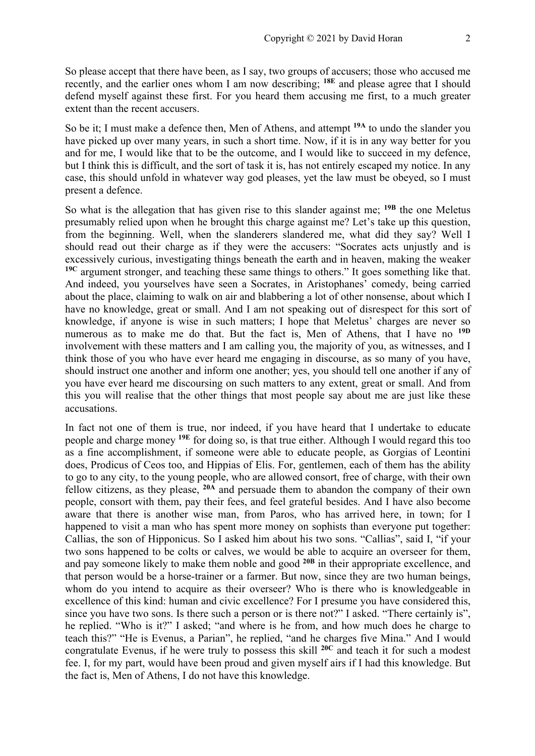So please accept that there have been, as I say, two groups of accusers; those who accused me recently, and the earlier ones whom I am now describing; **18E** and please agree that I should defend myself against these first. For you heard them accusing me first, to a much greater extent than the recent accusers.

So be it; I must make a defence then, Men of Athens, and attempt **19A** to undo the slander you have picked up over many years, in such a short time. Now, if it is in any way better for you and for me, I would like that to be the outcome, and I would like to succeed in my defence, but I think this is difficult, and the sort of task it is, has not entirely escaped my notice. In any case, this should unfold in whatever way god pleases, yet the law must be obeyed, so I must present a defence.

So what is the allegation that has given rise to this slander against me; **19B** the one Meletus presumably relied upon when he brought this charge against me? Let's take up this question, from the beginning. Well, when the slanderers slandered me, what did they say? Well I should read out their charge as if they were the accusers: "Socrates acts unjustly and is excessively curious, investigating things beneath the earth and in heaven, making the weaker **19C** argument stronger, and teaching these same things to others." It goes something like that. And indeed, you yourselves have seen a Socrates, in Aristophanes' comedy, being carried about the place, claiming to walk on air and blabbering a lot of other nonsense, about which I have no knowledge, great or small. And I am not speaking out of disrespect for this sort of knowledge, if anyone is wise in such matters; I hope that Meletus' charges are never so numerous as to make me do that. But the fact is, Men of Athens, that I have no **19D** involvement with these matters and I am calling you, the majority of you, as witnesses, and I think those of you who have ever heard me engaging in discourse, as so many of you have, should instruct one another and inform one another; yes, you should tell one another if any of you have ever heard me discoursing on such matters to any extent, great or small. And from this you will realise that the other things that most people say about me are just like these accusations.

In fact not one of them is true, nor indeed, if you have heard that I undertake to educate people and charge money **19E** for doing so, is that true either. Although I would regard this too as a fine accomplishment, if someone were able to educate people, as Gorgias of Leontini does, Prodicus of Ceos too, and Hippias of Elis. For, gentlemen, each of them has the ability to go to any city, to the young people, who are allowed consort, free of charge, with their own fellow citizens, as they please, **20A** and persuade them to abandon the company of their own people, consort with them, pay their fees, and feel grateful besides. And I have also become aware that there is another wise man, from Paros, who has arrived here, in town; for I happened to visit a man who has spent more money on sophists than everyone put together: Callias, the son of Hipponicus. So I asked him about his two sons. "Callias", said I, "if your two sons happened to be colts or calves, we would be able to acquire an overseer for them, and pay someone likely to make them noble and good **20B** in their appropriate excellence, and that person would be a horse-trainer or a farmer. But now, since they are two human beings, whom do you intend to acquire as their overseer? Who is there who is knowledgeable in excellence of this kind: human and civic excellence? For I presume you have considered this, since you have two sons. Is there such a person or is there not?" I asked. "There certainly is", he replied. "Who is it?" I asked; "and where is he from, and how much does he charge to teach this?" "He is Evenus, a Parian", he replied, "and he charges five Mina." And I would congratulate Evenus, if he were truly to possess this skill **20C** and teach it for such a modest fee. I, for my part, would have been proud and given myself airs if I had this knowledge. But the fact is, Men of Athens, I do not have this knowledge.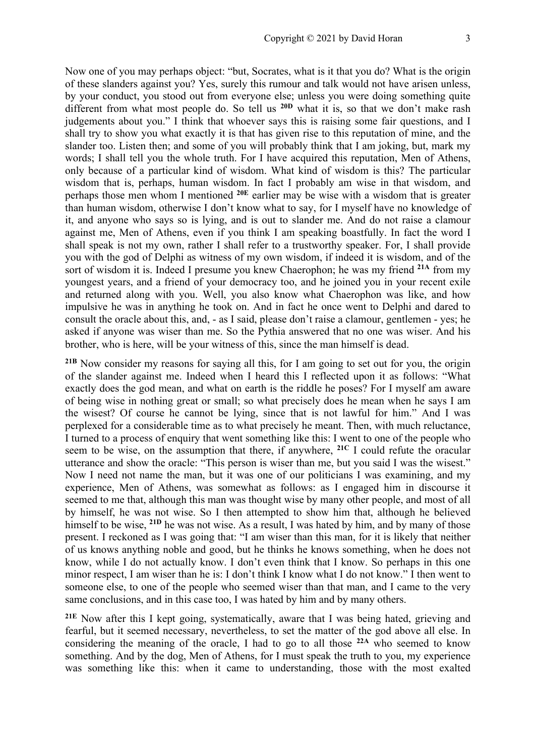Now one of you may perhaps object: "but, Socrates, what is it that you do? What is the origin of these slanders against you? Yes, surely this rumour and talk would not have arisen unless, by your conduct, you stood out from everyone else; unless you were doing something quite different from what most people do. So tell us **20D** what it is, so that we don't make rash judgements about you." I think that whoever says this is raising some fair questions, and I shall try to show you what exactly it is that has given rise to this reputation of mine, and the slander too. Listen then; and some of you will probably think that I am joking, but, mark my words; I shall tell you the whole truth. For I have acquired this reputation, Men of Athens, only because of a particular kind of wisdom. What kind of wisdom is this? The particular wisdom that is, perhaps, human wisdom. In fact I probably am wise in that wisdom, and perhaps those men whom I mentioned **20E** earlier may be wise with a wisdom that is greater than human wisdom, otherwise I don't know what to say, for I myself have no knowledge of it, and anyone who says so is lying, and is out to slander me. And do not raise a clamour against me, Men of Athens, even if you think I am speaking boastfully. In fact the word I shall speak is not my own, rather I shall refer to a trustworthy speaker. For, I shall provide you with the god of Delphi as witness of my own wisdom, if indeed it is wisdom, and of the sort of wisdom it is. Indeed I presume you knew Chaerophon; he was my friend **21A** from my youngest years, and a friend of your democracy too, and he joined you in your recent exile and returned along with you. Well, you also know what Chaerophon was like, and how impulsive he was in anything he took on. And in fact he once went to Delphi and dared to consult the oracle about this, and, - as I said, please don't raise a clamour, gentlemen - yes; he asked if anyone was wiser than me. So the Pythia answered that no one was wiser. And his brother, who is here, will be your witness of this, since the man himself is dead.

**21B** Now consider my reasons for saying all this, for I am going to set out for you, the origin of the slander against me. Indeed when I heard this I reflected upon it as follows: "What exactly does the god mean, and what on earth is the riddle he poses? For I myself am aware of being wise in nothing great or small; so what precisely does he mean when he says I am the wisest? Of course he cannot be lying, since that is not lawful for him." And I was perplexed for a considerable time as to what precisely he meant. Then, with much reluctance, I turned to a process of enquiry that went something like this: I went to one of the people who seem to be wise, on the assumption that there, if anywhere, **21C** I could refute the oracular utterance and show the oracle: "This person is wiser than me, but you said I was the wisest." Now I need not name the man, but it was one of our politicians I was examining, and my experience, Men of Athens, was somewhat as follows: as I engaged him in discourse it seemed to me that, although this man was thought wise by many other people, and most of all by himself, he was not wise. So I then attempted to show him that, although he believed himself to be wise, **21D** he was not wise. As a result, I was hated by him, and by many of those present. I reckoned as I was going that: "I am wiser than this man, for it is likely that neither of us knows anything noble and good, but he thinks he knows something, when he does not know, while I do not actually know. I don't even think that I know. So perhaps in this one minor respect, I am wiser than he is: I don't think I know what I do not know." I then went to someone else, to one of the people who seemed wiser than that man, and I came to the very same conclusions, and in this case too, I was hated by him and by many others.

**21E** Now after this I kept going, systematically, aware that I was being hated, grieving and fearful, but it seemed necessary, nevertheless, to set the matter of the god above all else. In considering the meaning of the oracle, I had to go to all those **22A** who seemed to know something. And by the dog, Men of Athens, for I must speak the truth to you, my experience was something like this: when it came to understanding, those with the most exalted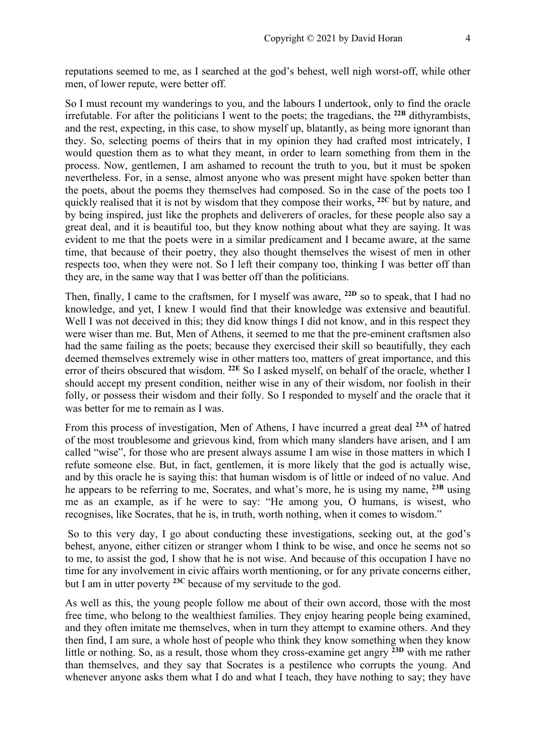reputations seemed to me, as I searched at the god's behest, well nigh worst-off, while other men, of lower repute, were better off.

So I must recount my wanderings to you, and the labours I undertook, only to find the oracle irrefutable. For after the politicians I went to the poets; the tragedians, the **22B** dithyrambists, and the rest, expecting, in this case, to show myself up, blatantly, as being more ignorant than they. So, selecting poems of theirs that in my opinion they had crafted most intricately, I would question them as to what they meant, in order to learn something from them in the process. Now, gentlemen, I am ashamed to recount the truth to you, but it must be spoken nevertheless. For, in a sense, almost anyone who was present might have spoken better than the poets, about the poems they themselves had composed. So in the case of the poets too I quickly realised that it is not by wisdom that they compose their works, **22C** but by nature, and by being inspired, just like the prophets and deliverers of oracles, for these people also say a great deal, and it is beautiful too, but they know nothing about what they are saying. It was evident to me that the poets were in a similar predicament and I became aware, at the same time, that because of their poetry, they also thought themselves the wisest of men in other respects too, when they were not. So I left their company too, thinking I was better off than they are, in the same way that I was better off than the politicians.

Then, finally, I came to the craftsmen, for I myself was aware, **22D** so to speak, that I had no knowledge, and yet, I knew I would find that their knowledge was extensive and beautiful. Well I was not deceived in this; they did know things I did not know, and in this respect they were wiser than me. But, Men of Athens, it seemed to me that the pre-eminent craftsmen also had the same failing as the poets; because they exercised their skill so beautifully, they each deemed themselves extremely wise in other matters too, matters of great importance, and this error of theirs obscured that wisdom. **22E** So I asked myself, on behalf of the oracle, whether I should accept my present condition, neither wise in any of their wisdom, nor foolish in their folly, or possess their wisdom and their folly. So I responded to myself and the oracle that it was better for me to remain as I was.

From this process of investigation, Men of Athens, I have incurred a great deal **23A** of hatred of the most troublesome and grievous kind, from which many slanders have arisen, and I am called "wise", for those who are present always assume I am wise in those matters in which I refute someone else. But, in fact, gentlemen, it is more likely that the god is actually wise, and by this oracle he is saying this: that human wisdom is of little or indeed of no value. And he appears to be referring to me, Socrates, and what's more, he is using my name, **23B** using me as an example, as if he were to say: "He among you, O humans, is wisest, who recognises, like Socrates, that he is, in truth, worth nothing, when it comes to wisdom."

So to this very day, I go about conducting these investigations, seeking out, at the god's behest, anyone, either citizen or stranger whom I think to be wise, and once he seems not so to me, to assist the god, I show that he is not wise. And because of this occupation I have no time for any involvement in civic affairs worth mentioning, or for any private concerns either, but I am in utter poverty **23C** because of my servitude to the god.

As well as this, the young people follow me about of their own accord, those with the most free time, who belong to the wealthiest families. They enjoy hearing people being examined, and they often imitate me themselves, when in turn they attempt to examine others. And they then find, I am sure, a whole host of people who think they know something when they know little or nothing. So, as a result, those whom they cross-examine get angry **23D** with me rather than themselves, and they say that Socrates is a pestilence who corrupts the young. And whenever anyone asks them what I do and what I teach, they have nothing to say; they have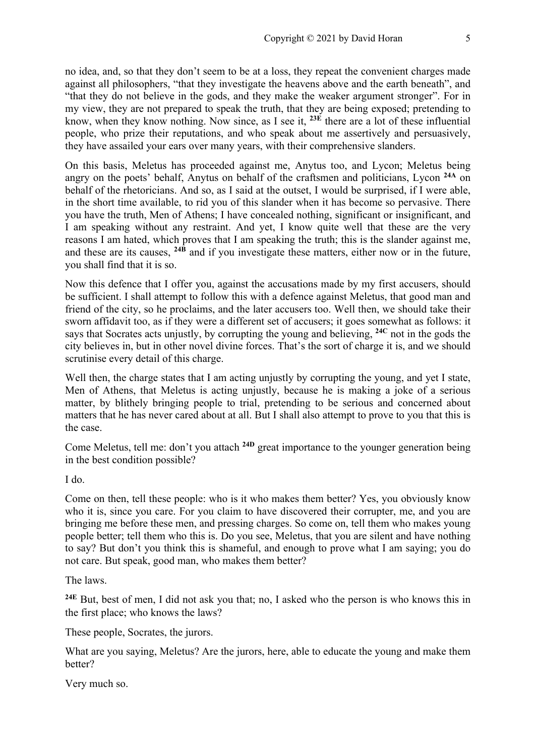no idea, and, so that they don't seem to be at a loss, they repeat the convenient charges made against all philosophers, "that they investigate the heavens above and the earth beneath", and "that they do not believe in the gods, and they make the weaker argument stronger". For in my view, they are not prepared to speak the truth, that they are being exposed; pretending to know, when they know nothing. Now since, as I see it, **23E** there are a lot of these influential people, who prize their reputations, and who speak about me assertively and persuasively, they have assailed your ears over many years, with their comprehensive slanders.

On this basis, Meletus has proceeded against me, Anytus too, and Lycon; Meletus being angry on the poets' behalf, Anytus on behalf of the craftsmen and politicians, Lycon **24A** on behalf of the rhetoricians. And so, as I said at the outset, I would be surprised, if I were able, in the short time available, to rid you of this slander when it has become so pervasive. There you have the truth, Men of Athens; I have concealed nothing, significant or insignificant, and I am speaking without any restraint. And yet, I know quite well that these are the very reasons I am hated, which proves that I am speaking the truth; this is the slander against me, and these are its causes, **24B** and if you investigate these matters, either now or in the future, you shall find that it is so.

Now this defence that I offer you, against the accusations made by my first accusers, should be sufficient. I shall attempt to follow this with a defence against Meletus, that good man and friend of the city, so he proclaims, and the later accusers too. Well then, we should take their sworn affidavit too, as if they were a different set of accusers; it goes somewhat as follows: it says that Socrates acts unjustly, by corrupting the young and believing, **24C** not in the gods the city believes in, but in other novel divine forces. That's the sort of charge it is, and we should scrutinise every detail of this charge.

Well then, the charge states that I am acting unjustly by corrupting the young, and yet I state, Men of Athens, that Meletus is acting unjustly, because he is making a joke of a serious matter, by blithely bringing people to trial, pretending to be serious and concerned about matters that he has never cared about at all. But I shall also attempt to prove to you that this is the case.

Come Meletus, tell me: don't you attach **24D** great importance to the younger generation being in the best condition possible?

I do.

Come on then, tell these people: who is it who makes them better? Yes, you obviously know who it is, since you care. For you claim to have discovered their corrupter, me, and you are bringing me before these men, and pressing charges. So come on, tell them who makes young people better; tell them who this is. Do you see, Meletus, that you are silent and have nothing to say? But don't you think this is shameful, and enough to prove what I am saying; you do not care. But speak, good man, who makes them better?

The laws.

**24E** But, best of men, I did not ask you that; no, I asked who the person is who knows this in the first place; who knows the laws?

These people, Socrates, the jurors.

What are you saying, Meletus? Are the jurors, here, able to educate the young and make them better?

Very much so.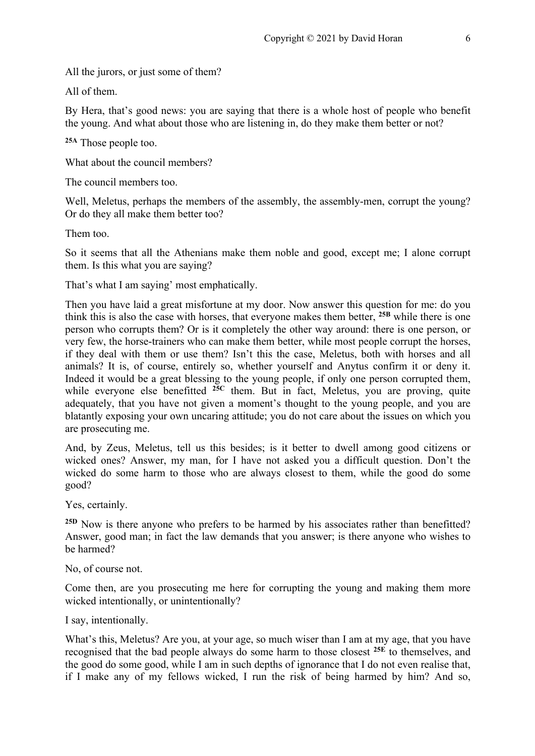All the jurors, or just some of them?

All of them.

By Hera, that's good news: you are saying that there is a whole host of people who benefit the young. And what about those who are listening in, do they make them better or not?

**25A** Those people too.

What about the council members?

The council members too.

Well, Meletus, perhaps the members of the assembly, the assembly-men, corrupt the young? Or do they all make them better too?

Them too.

So it seems that all the Athenians make them noble and good, except me; I alone corrupt them. Is this what you are saying?

That's what I am saying' most emphatically.

Then you have laid a great misfortune at my door. Now answer this question for me: do you think this is also the case with horses, that everyone makes them better, **25B** while there is one person who corrupts them? Or is it completely the other way around: there is one person, or very few, the horse-trainers who can make them better, while most people corrupt the horses, if they deal with them or use them? Isn't this the case, Meletus, both with horses and all animals? It is, of course, entirely so, whether yourself and Anytus confirm it or deny it. Indeed it would be a great blessing to the young people, if only one person corrupted them, while everyone else benefitted <sup>25C</sup> them. But in fact, Meletus, you are proving, quite adequately, that you have not given a moment's thought to the young people, and you are blatantly exposing your own uncaring attitude; you do not care about the issues on which you are prosecuting me.

And, by Zeus, Meletus, tell us this besides; is it better to dwell among good citizens or wicked ones? Answer, my man, for I have not asked you a difficult question. Don't the wicked do some harm to those who are always closest to them, while the good do some good?

Yes, certainly.

<sup>25D</sup> Now is there anyone who prefers to be harmed by his associates rather than benefitted? Answer, good man; in fact the law demands that you answer; is there anyone who wishes to be harmed?

No, of course not.

Come then, are you prosecuting me here for corrupting the young and making them more wicked intentionally, or unintentionally?

I say, intentionally.

What's this, Meletus? Are you, at your age, so much wiser than I am at my age, that you have recognised that the bad people always do some harm to those closest **25E** to themselves, and the good do some good, while I am in such depths of ignorance that I do not even realise that, if I make any of my fellows wicked, I run the risk of being harmed by him? And so,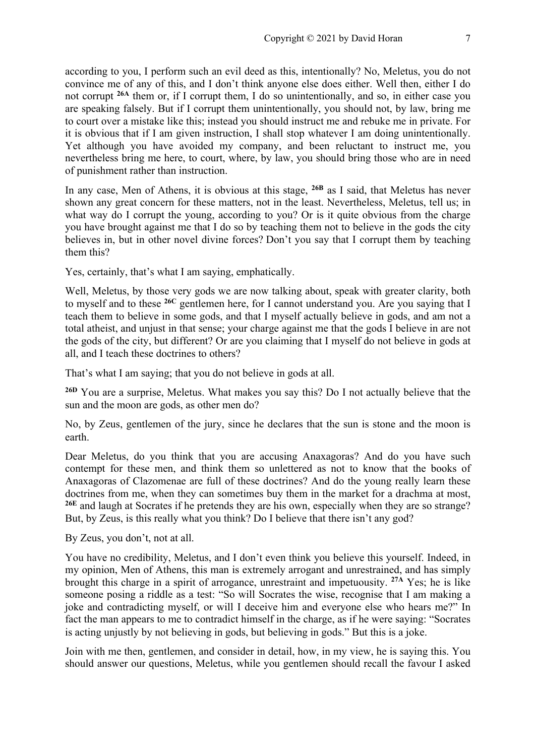according to you, I perform such an evil deed as this, intentionally? No, Meletus, you do not convince me of any of this, and I don't think anyone else does either. Well then, either I do not corrupt **26A** them or, if I corrupt them, I do so unintentionally, and so, in either case you are speaking falsely. But if I corrupt them unintentionally, you should not, by law, bring me to court over a mistake like this; instead you should instruct me and rebuke me in private. For it is obvious that if I am given instruction, I shall stop whatever I am doing unintentionally. Yet although you have avoided my company, and been reluctant to instruct me, you nevertheless bring me here, to court, where, by law, you should bring those who are in need of punishment rather than instruction.

In any case, Men of Athens, it is obvious at this stage, **26B** as I said, that Meletus has never shown any great concern for these matters, not in the least. Nevertheless, Meletus, tell us; in what way do I corrupt the young, according to you? Or is it quite obvious from the charge you have brought against me that I do so by teaching them not to believe in the gods the city believes in, but in other novel divine forces? Don't you say that I corrupt them by teaching them this?

Yes, certainly, that's what I am saying, emphatically.

Well, Meletus, by those very gods we are now talking about, speak with greater clarity, both to myself and to these **26C** gentlemen here, for I cannot understand you. Are you saying that I teach them to believe in some gods, and that I myself actually believe in gods, and am not a total atheist, and unjust in that sense; your charge against me that the gods I believe in are not the gods of the city, but different? Or are you claiming that I myself do not believe in gods at all, and I teach these doctrines to others?

That's what I am saying; that you do not believe in gods at all.

**26D** You are a surprise, Meletus. What makes you say this? Do I not actually believe that the sun and the moon are gods, as other men do?

No, by Zeus, gentlemen of the jury, since he declares that the sun is stone and the moon is earth.

Dear Meletus, do you think that you are accusing Anaxagoras? And do you have such contempt for these men, and think them so unlettered as not to know that the books of Anaxagoras of Clazomenae are full of these doctrines? And do the young really learn these doctrines from me, when they can sometimes buy them in the market for a drachma at most, **26E** and laugh at Socrates if he pretends they are his own, especially when they are so strange? But, by Zeus, is this really what you think? Do I believe that there isn't any god?

By Zeus, you don't, not at all.

You have no credibility, Meletus, and I don't even think you believe this yourself. Indeed, in my opinion, Men of Athens, this man is extremely arrogant and unrestrained, and has simply brought this charge in a spirit of arrogance, unrestraint and impetuousity. **27A** Yes; he is like someone posing a riddle as a test: "So will Socrates the wise, recognise that I am making a joke and contradicting myself, or will I deceive him and everyone else who hears me?" In fact the man appears to me to contradict himself in the charge, as if he were saying: "Socrates is acting unjustly by not believing in gods, but believing in gods." But this is a joke.

Join with me then, gentlemen, and consider in detail, how, in my view, he is saying this. You should answer our questions, Meletus, while you gentlemen should recall the favour I asked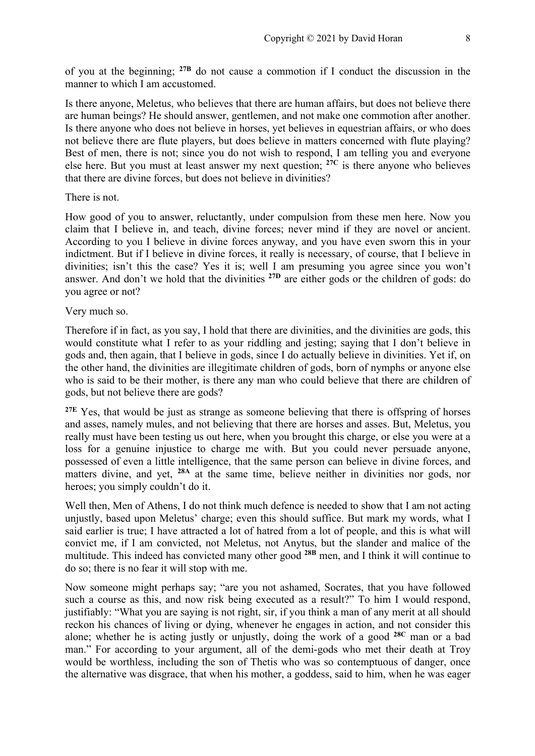of you at the beginning; **27B** do not cause a commotion if I conduct the discussion in the manner to which I am accustomed.

Is there anyone, Meletus, who believes that there are human affairs, but does not believe there are human beings? He should answer, gentlemen, and not make one commotion after another. Is there anyone who does not believe in horses, yet believes in equestrian affairs, or who does not believe there are flute players, but does believe in matters concerned with flute playing? Best of men, there is not; since you do not wish to respond. I am telling you and everyone else here. But you must at least answer my next question; **27C** is there anyone who believes that there are divine forces, but does not believe in divinities?

#### There is not.

How good of you to answer, reluctantly, under compulsion from these men here. Now you claim that I believe in, and teach, divine forces; never mind if they are novel or ancient. According to you I believe in divine forces anyway, and you have even sworn this in your indictment. But if I believe in divine forces, it really is necessary, of course, that I believe in divinities; isn't this the case? Yes it is; well I am presuming you agree since you won't answer. And don't we hold that the divinities **27D** are either gods or the children of gods: do you agree or not?

#### Very much so.

Therefore if in fact, as you say, I hold that there are divinities, and the divinities are gods, this would constitute what I refer to as your riddling and jesting; saying that I don't believe in gods and, then again, that I believe in gods, since I do actually believe in divinities. Yet if, on the other hand, the divinities are illegitimate children of gods, born of nymphs or anyone else who is said to be their mother, is there any man who could believe that there are children of gods, but not believe there are gods?

**27E** Yes, that would be just as strange as someone believing that there is offspring of horses and asses, namely mules, and not believing that there are horses and asses. But, Meletus, you really must have been testing us out here, when you brought this charge, or else you were at a loss for a genuine injustice to charge me with. But you could never persuade anyone, possessed of even a little intelligence, that the same person can believe in divine forces, and matters divine, and yet, **28A** at the same time, believe neither in divinities nor gods, nor heroes; you simply couldn't do it.

Well then, Men of Athens, I do not think much defence is needed to show that I am not acting unjustly, based upon Meletus' charge; even this should suffice. But mark my words, what I said earlier is true; I have attracted a lot of hatred from a lot of people, and this is what will convict me, if I am convicted, not Meletus, not Anytus, but the slander and malice of the multitude. This indeed has convicted many other good **28B** men, and I think it will continue to do so; there is no fear it will stop with me.

Now someone might perhaps say; "are you not ashamed, Socrates, that you have followed such a course as this, and now risk being executed as a result?" To him I would respond, justifiably: "What you are saying is not right, sir, if you think a man of any merit at all should reckon his chances of living or dying, whenever he engages in action, and not consider this alone; whether he is acting justly or unjustly, doing the work of a good **28C** man or a bad man." For according to your argument, all of the demi-gods who met their death at Troy would be worthless, including the son of Thetis who was so contemptuous of danger, once the alternative was disgrace, that when his mother, a goddess, said to him, when he was eager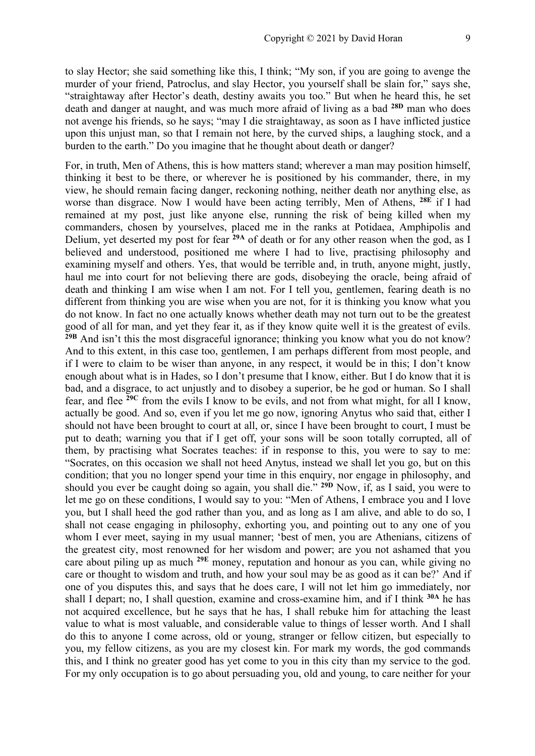to slay Hector; she said something like this, I think; "My son, if you are going to avenge the murder of your friend, Patroclus, and slay Hector, you yourself shall be slain for," says she, "straightaway after Hector's death, destiny awaits you too." But when he heard this, he set death and danger at naught, and was much more afraid of living as a bad **28D** man who does not avenge his friends, so he says; "may I die straightaway, as soon as I have inflicted justice upon this unjust man, so that I remain not here, by the curved ships, a laughing stock, and a burden to the earth." Do you imagine that he thought about death or danger?

For, in truth, Men of Athens, this is how matters stand; wherever a man may position himself, thinking it best to be there, or wherever he is positioned by his commander, there, in my view, he should remain facing danger, reckoning nothing, neither death nor anything else, as worse than disgrace. Now I would have been acting terribly, Men of Athens, **28E** if I had remained at my post, just like anyone else, running the risk of being killed when my commanders, chosen by yourselves, placed me in the ranks at Potidaea, Amphipolis and Delium, yet deserted my post for fear **29A** of death or for any other reason when the god, as I believed and understood, positioned me where I had to live, practising philosophy and examining myself and others. Yes, that would be terrible and, in truth, anyone might, justly, haul me into court for not believing there are gods, disobeying the oracle, being afraid of death and thinking I am wise when I am not. For I tell you, gentlemen, fearing death is no different from thinking you are wise when you are not, for it is thinking you know what you do not know. In fact no one actually knows whether death may not turn out to be the greatest good of all for man, and yet they fear it, as if they know quite well it is the greatest of evils. <sup>29B</sup> And isn't this the most disgraceful ignorance; thinking you know what you do not know? And to this extent, in this case too, gentlemen, I am perhaps different from most people, and if I were to claim to be wiser than anyone, in any respect, it would be in this; I don't know enough about what is in Hades, so I don't presume that I know, either. But I do know that it is bad, and a disgrace, to act unjustly and to disobey a superior, be he god or human. So I shall fear, and flee **29C** from the evils I know to be evils, and not from what might, for all I know, actually be good. And so, even if you let me go now, ignoring Anytus who said that, either I should not have been brought to court at all, or, since I have been brought to court, I must be put to death; warning you that if I get off, your sons will be soon totally corrupted, all of them, by practising what Socrates teaches: if in response to this, you were to say to me: "Socrates, on this occasion we shall not heed Anytus, instead we shall let you go, but on this condition; that you no longer spend your time in this enquiry, nor engage in philosophy, and should you ever be caught doing so again, you shall die." **29D** Now, if, as I said, you were to let me go on these conditions, I would say to you: "Men of Athens, I embrace you and I love you, but I shall heed the god rather than you, and as long as I am alive, and able to do so, I shall not cease engaging in philosophy, exhorting you, and pointing out to any one of you whom I ever meet, saying in my usual manner; 'best of men, you are Athenians, citizens of the greatest city, most renowned for her wisdom and power; are you not ashamed that you care about piling up as much **29E** money, reputation and honour as you can, while giving no care or thought to wisdom and truth, and how your soul may be as good as it can be?' And if one of you disputes this, and says that he does care, I will not let him go immediately, nor shall I depart; no, I shall question, examine and cross-examine him, and if I think **30A** he has not acquired excellence, but he says that he has, I shall rebuke him for attaching the least value to what is most valuable, and considerable value to things of lesser worth. And I shall do this to anyone I come across, old or young, stranger or fellow citizen, but especially to you, my fellow citizens, as you are my closest kin. For mark my words, the god commands this, and I think no greater good has yet come to you in this city than my service to the god. For my only occupation is to go about persuading you, old and young, to care neither for your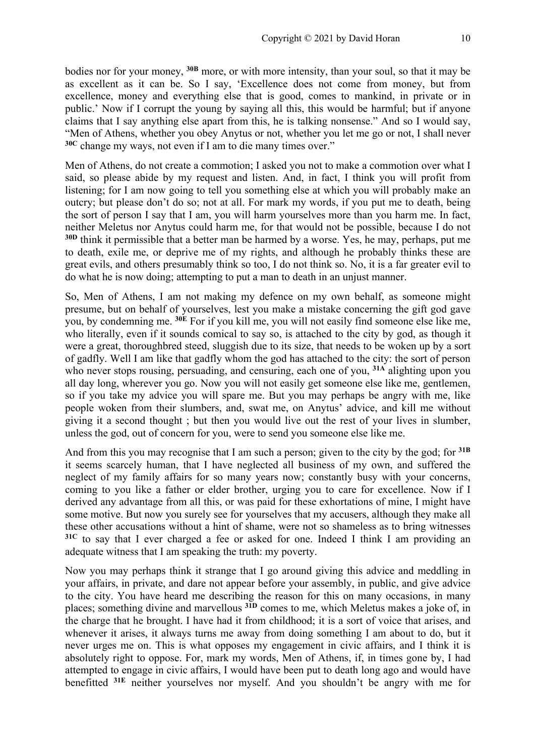bodies nor for your money, **30B** more, or with more intensity, than your soul, so that it may be as excellent as it can be. So I say, 'Excellence does not come from money, but from excellence, money and everything else that is good, comes to mankind, in private or in public.' Now if I corrupt the young by saying all this, this would be harmful; but if anyone claims that I say anything else apart from this, he is talking nonsense." And so I would say, "Men of Athens, whether you obey Anytus or not, whether you let me go or not, I shall never **30C** change my ways, not even if I am to die many times over."

Men of Athens, do not create a commotion; I asked you not to make a commotion over what I said, so please abide by my request and listen. And, in fact, I think you will profit from listening; for I am now going to tell you something else at which you will probably make an outcry; but please don't do so; not at all. For mark my words, if you put me to death, being the sort of person I say that I am, you will harm yourselves more than you harm me. In fact, neither Meletus nor Anytus could harm me, for that would not be possible, because I do not **30D** think it permissible that a better man be harmed by a worse. Yes, he may, perhaps, put me to death, exile me, or deprive me of my rights, and although he probably thinks these are great evils, and others presumably think so too, I do not think so. No, it is a far greater evil to do what he is now doing; attempting to put a man to death in an unjust manner.

So, Men of Athens, I am not making my defence on my own behalf, as someone might presume, but on behalf of yourselves, lest you make a mistake concerning the gift god gave you, by condemning me. **30E** For if you kill me, you will not easily find someone else like me, who literally, even if it sounds comical to say so, is attached to the city by god, as though it were a great, thoroughbred steed, sluggish due to its size, that needs to be woken up by a sort of gadfly. Well I am like that gadfly whom the god has attached to the city: the sort of person who never stops rousing, persuading, and censuring, each one of you, <sup>31A</sup> alighting upon you all day long, wherever you go. Now you will not easily get someone else like me, gentlemen, so if you take my advice you will spare me. But you may perhaps be angry with me, like people woken from their slumbers, and, swat me, on Anytus' advice, and kill me without giving it a second thought ; but then you would live out the rest of your lives in slumber, unless the god, out of concern for you, were to send you someone else like me.

And from this you may recognise that I am such a person; given to the city by the god; for **31B** it seems scarcely human, that I have neglected all business of my own, and suffered the neglect of my family affairs for so many years now; constantly busy with your concerns, coming to you like a father or elder brother, urging you to care for excellence. Now if I derived any advantage from all this, or was paid for these exhortations of mine, I might have some motive. But now you surely see for yourselves that my accusers, although they make all these other accusations without a hint of shame, were not so shameless as to bring witnesses **31C** to say that I ever charged a fee or asked for one. Indeed I think I am providing an adequate witness that I am speaking the truth: my poverty.

Now you may perhaps think it strange that I go around giving this advice and meddling in your affairs, in private, and dare not appear before your assembly, in public, and give advice to the city. You have heard me describing the reason for this on many occasions, in many places; something divine and marvellous **31D** comes to me, which Meletus makes a joke of, in the charge that he brought. I have had it from childhood; it is a sort of voice that arises, and whenever it arises, it always turns me away from doing something I am about to do, but it never urges me on. This is what opposes my engagement in civic affairs, and I think it is absolutely right to oppose. For, mark my words, Men of Athens, if, in times gone by, I had attempted to engage in civic affairs, I would have been put to death long ago and would have benefitted **31E** neither yourselves nor myself. And you shouldn't be angry with me for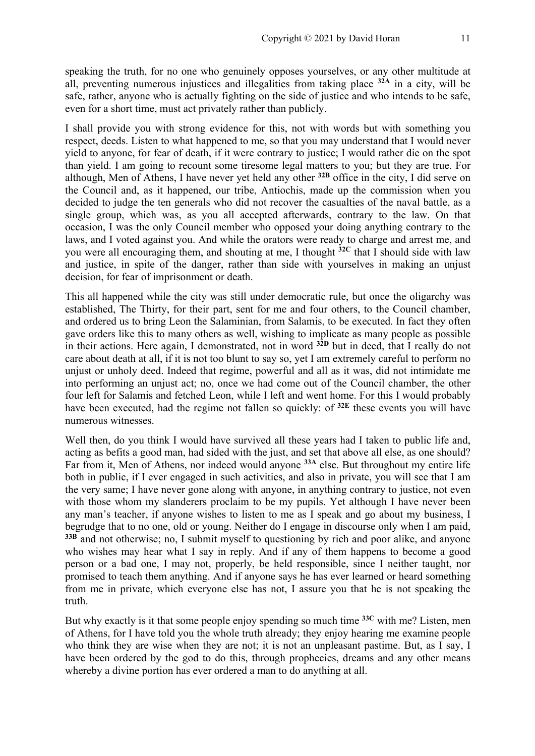speaking the truth, for no one who genuinely opposes yourselves, or any other multitude at all, preventing numerous injustices and illegalities from taking place **32A** in a city, will be safe, rather, anyone who is actually fighting on the side of justice and who intends to be safe, even for a short time, must act privately rather than publicly.

I shall provide you with strong evidence for this, not with words but with something you respect, deeds. Listen to what happened to me, so that you may understand that I would never yield to anyone, for fear of death, if it were contrary to justice; I would rather die on the spot than yield. I am going to recount some tiresome legal matters to you; but they are true. For although, Men of Athens, I have never yet held any other **32B** office in the city, I did serve on the Council and, as it happened, our tribe, Antiochis, made up the commission when you decided to judge the ten generals who did not recover the casualties of the naval battle, as a single group, which was, as you all accepted afterwards, contrary to the law. On that occasion, I was the only Council member who opposed your doing anything contrary to the laws, and I voted against you. And while the orators were ready to charge and arrest me, and you were all encouraging them, and shouting at me, I thought **32C** that I should side with law and justice, in spite of the danger, rather than side with yourselves in making an unjust decision, for fear of imprisonment or death.

This all happened while the city was still under democratic rule, but once the oligarchy was established, The Thirty, for their part, sent for me and four others, to the Council chamber, and ordered us to bring Leon the Salaminian, from Salamis, to be executed. In fact they often gave orders like this to many others as well, wishing to implicate as many people as possible in their actions. Here again, I demonstrated, not in word **32D** but in deed, that I really do not care about death at all, if it is not too blunt to say so, yet I am extremely careful to perform no unjust or unholy deed. Indeed that regime, powerful and all as it was, did not intimidate me into performing an unjust act; no, once we had come out of the Council chamber, the other four left for Salamis and fetched Leon, while I left and went home. For this I would probably have been executed, had the regime not fallen so quickly: of **32E** these events you will have numerous witnesses.

Well then, do you think I would have survived all these years had I taken to public life and, acting as befits a good man, had sided with the just, and set that above all else, as one should? Far from it, Men of Athens, nor indeed would anyone **33A** else. But throughout my entire life both in public, if I ever engaged in such activities, and also in private, you will see that I am the very same; I have never gone along with anyone, in anything contrary to justice, not even with those whom my slanderers proclaim to be my pupils. Yet although I have never been any man's teacher, if anyone wishes to listen to me as I speak and go about my business, I begrudge that to no one, old or young. Neither do I engage in discourse only when I am paid, **33B** and not otherwise; no, I submit myself to questioning by rich and poor alike, and anyone who wishes may hear what I say in reply. And if any of them happens to become a good person or a bad one, I may not, properly, be held responsible, since I neither taught, nor promised to teach them anything. And if anyone says he has ever learned or heard something from me in private, which everyone else has not, I assure you that he is not speaking the truth.

But why exactly is it that some people enjoy spending so much time **33C** with me? Listen, men of Athens, for I have told you the whole truth already; they enjoy hearing me examine people who think they are wise when they are not; it is not an unpleasant pastime. But, as I say, I have been ordered by the god to do this, through prophecies, dreams and any other means whereby a divine portion has ever ordered a man to do anything at all.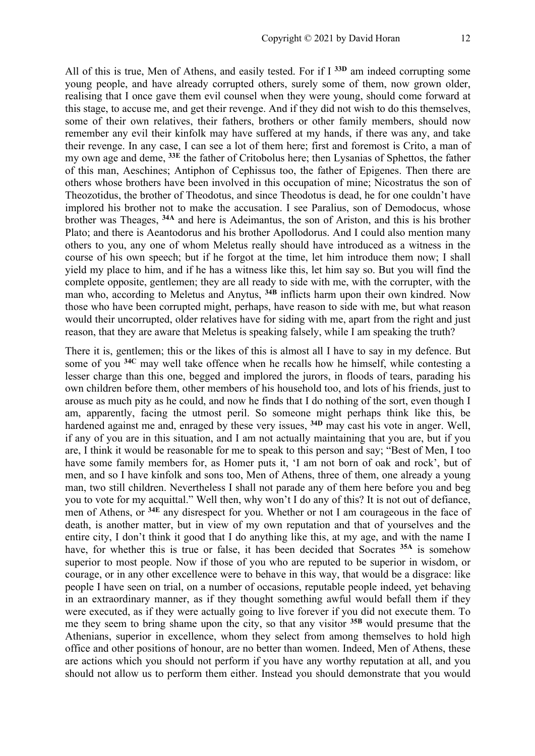All of this is true, Men of Athens, and easily tested. For if I **33D** am indeed corrupting some young people, and have already corrupted others, surely some of them, now grown older, realising that I once gave them evil counsel when they were young, should come forward at this stage, to accuse me, and get their revenge. And if they did not wish to do this themselves, some of their own relatives, their fathers, brothers or other family members, should now remember any evil their kinfolk may have suffered at my hands, if there was any, and take their revenge. In any case, I can see a lot of them here; first and foremost is Crito, a man of my own age and deme, **33E** the father of Critobolus here; then Lysanias of Sphettos, the father of this man, Aeschines; Antiphon of Cephissus too, the father of Epigenes. Then there are others whose brothers have been involved in this occupation of mine; Nicostratus the son of Theozotidus, the brother of Theodotus, and since Theodotus is dead, he for one couldn't have implored his brother not to make the accusation. I see Paralius, son of Demodocus, whose brother was Theages, **34A** and here is Adeimantus, the son of Ariston, and this is his brother Plato; and there is Aeantodorus and his brother Apollodorus. And I could also mention many others to you, any one of whom Meletus really should have introduced as a witness in the course of his own speech; but if he forgot at the time, let him introduce them now; I shall yield my place to him, and if he has a witness like this, let him say so. But you will find the complete opposite, gentlemen; they are all ready to side with me, with the corrupter, with the man who, according to Meletus and Anytus, <sup>34B</sup> inflicts harm upon their own kindred. Now those who have been corrupted might, perhaps, have reason to side with me, but what reason would their uncorrupted, older relatives have for siding with me, apart from the right and just reason, that they are aware that Meletus is speaking falsely, while I am speaking the truth?

There it is, gentlemen; this or the likes of this is almost all I have to say in my defence. But some of you **34C** may well take offence when he recalls how he himself, while contesting a lesser charge than this one, begged and implored the jurors, in floods of tears, parading his own children before them, other members of his household too, and lots of his friends, just to arouse as much pity as he could, and now he finds that I do nothing of the sort, even though I am, apparently, facing the utmost peril. So someone might perhaps think like this, be hardened against me and, enraged by these very issues, **34D** may cast his vote in anger. Well, if any of you are in this situation, and I am not actually maintaining that you are, but if you are, I think it would be reasonable for me to speak to this person and say; "Best of Men, I too have some family members for, as Homer puts it, 'I am not born of oak and rock', but of men, and so I have kinfolk and sons too, Men of Athens, three of them, one already a young man, two still children. Nevertheless I shall not parade any of them here before you and beg you to vote for my acquittal." Well then, why won't I do any of this? It is not out of defiance, men of Athens, or **34E** any disrespect for you. Whether or not I am courageous in the face of death, is another matter, but in view of my own reputation and that of yourselves and the entire city, I don't think it good that I do anything like this, at my age, and with the name I have, for whether this is true or false, it has been decided that Socrates **35A** is somehow superior to most people. Now if those of you who are reputed to be superior in wisdom, or courage, or in any other excellence were to behave in this way, that would be a disgrace: like people I have seen on trial, on a number of occasions, reputable people indeed, yet behaving in an extraordinary manner, as if they thought something awful would befall them if they were executed, as if they were actually going to live forever if you did not execute them. To me they seem to bring shame upon the city, so that any visitor **35B** would presume that the Athenians, superior in excellence, whom they select from among themselves to hold high office and other positions of honour, are no better than women. Indeed, Men of Athens, these are actions which you should not perform if you have any worthy reputation at all, and you should not allow us to perform them either. Instead you should demonstrate that you would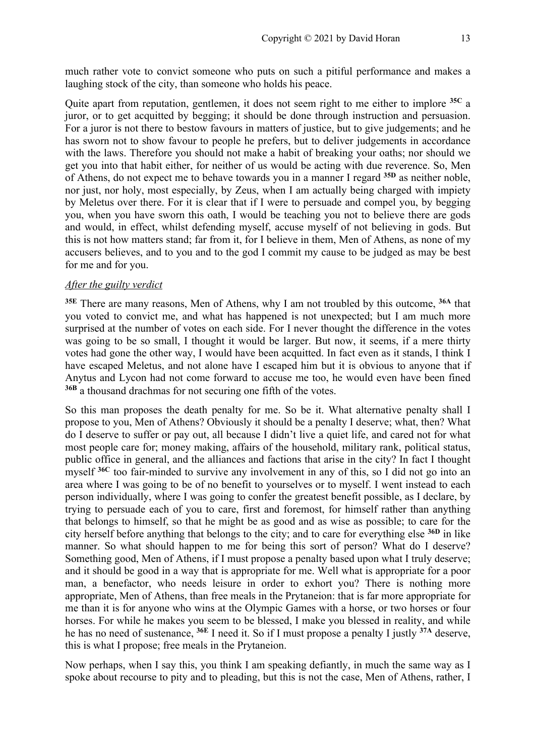much rather vote to convict someone who puts on such a pitiful performance and makes a laughing stock of the city, than someone who holds his peace.

Quite apart from reputation, gentlemen, it does not seem right to me either to implore **35C** a juror, or to get acquitted by begging; it should be done through instruction and persuasion. For a juror is not there to bestow favours in matters of justice, but to give judgements; and he has sworn not to show favour to people he prefers, but to deliver judgements in accordance with the laws. Therefore you should not make a habit of breaking your oaths; nor should we get you into that habit either, for neither of us would be acting with due reverence. So, Men of Athens, do not expect me to behave towards you in a manner I regard **35D** as neither noble, nor just, nor holy, most especially, by Zeus, when I am actually being charged with impiety by Meletus over there. For it is clear that if I were to persuade and compel you, by begging you, when you have sworn this oath, I would be teaching you not to believe there are gods and would, in effect, whilst defending myself, accuse myself of not believing in gods. But this is not how matters stand; far from it, for I believe in them, Men of Athens, as none of my accusers believes, and to you and to the god I commit my cause to be judged as may be best for me and for you.

#### *After the guilty verdict*

**35E** There are many reasons, Men of Athens, why I am not troubled by this outcome, **36A** that you voted to convict me, and what has happened is not unexpected; but I am much more surprised at the number of votes on each side. For I never thought the difference in the votes was going to be so small, I thought it would be larger. But now, it seems, if a mere thirty votes had gone the other way, I would have been acquitted. In fact even as it stands, I think I have escaped Meletus, and not alone have I escaped him but it is obvious to anyone that if Anytus and Lycon had not come forward to accuse me too, he would even have been fined **36B** a thousand drachmas for not securing one fifth of the votes.

So this man proposes the death penalty for me. So be it. What alternative penalty shall I propose to you, Men of Athens? Obviously it should be a penalty I deserve; what, then? What do I deserve to suffer or pay out, all because I didn't live a quiet life, and cared not for what most people care for; money making, affairs of the household, military rank, political status, public office in general, and the alliances and factions that arise in the city? In fact I thought myself **36C** too fair-minded to survive any involvement in any of this, so I did not go into an area where I was going to be of no benefit to yourselves or to myself. I went instead to each person individually, where I was going to confer the greatest benefit possible, as I declare, by trying to persuade each of you to care, first and foremost, for himself rather than anything that belongs to himself, so that he might be as good and as wise as possible; to care for the city herself before anything that belongs to the city; and to care for everything else **36D** in like manner. So what should happen to me for being this sort of person? What do I deserve? Something good, Men of Athens, if I must propose a penalty based upon what I truly deserve; and it should be good in a way that is appropriate for me. Well what is appropriate for a poor man, a benefactor, who needs leisure in order to exhort you? There is nothing more appropriate, Men of Athens, than free meals in the Prytaneion: that is far more appropriate for me than it is for anyone who wins at the Olympic Games with a horse, or two horses or four horses. For while he makes you seem to be blessed, I make you blessed in reality, and while he has no need of sustenance, **36E** I need it. So if I must propose a penalty I justly **37A** deserve, this is what I propose; free meals in the Prytaneion.

Now perhaps, when I say this, you think I am speaking defiantly, in much the same way as I spoke about recourse to pity and to pleading, but this is not the case, Men of Athens, rather, I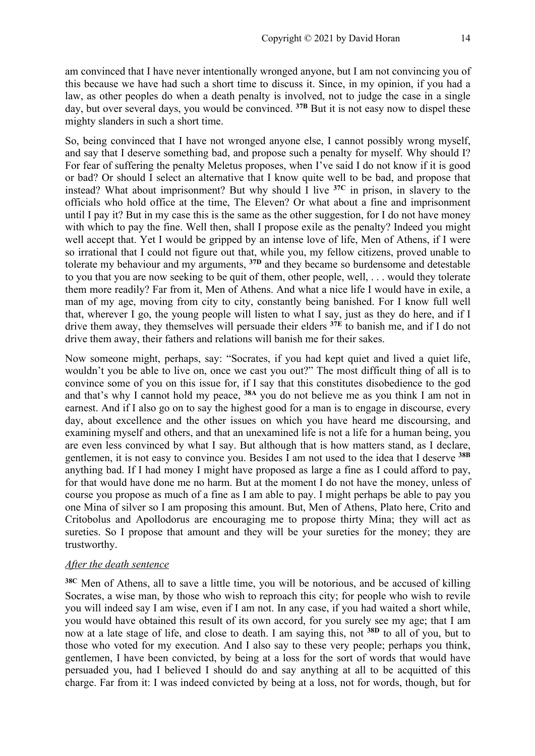am convinced that I have never intentionally wronged anyone, but I am not convincing you of this because we have had such a short time to discuss it. Since, in my opinion, if you had a law, as other peoples do when a death penalty is involved, not to judge the case in a single day, but over several days, you would be convinced. **37B** But it is not easy now to dispel these mighty slanders in such a short time.

So, being convinced that I have not wronged anyone else, I cannot possibly wrong myself, and say that I deserve something bad, and propose such a penalty for myself. Why should I? For fear of suffering the penalty Meletus proposes, when I've said I do not know if it is good or bad? Or should I select an alternative that I know quite well to be bad, and propose that instead? What about imprisonment? But why should I live **37C** in prison, in slavery to the officials who hold office at the time, The Eleven? Or what about a fine and imprisonment until I pay it? But in my case this is the same as the other suggestion, for I do not have money with which to pay the fine. Well then, shall I propose exile as the penalty? Indeed you might well accept that. Yet I would be gripped by an intense love of life, Men of Athens, if I were so irrational that I could not figure out that, while you, my fellow citizens, proved unable to tolerate my behaviour and my arguments, **37D** and they became so burdensome and detestable to you that you are now seeking to be quit of them, other people, well, . . . would they tolerate them more readily? Far from it, Men of Athens. And what a nice life I would have in exile, a man of my age, moving from city to city, constantly being banished. For I know full well that, wherever I go, the young people will listen to what I say, just as they do here, and if I drive them away, they themselves will persuade their elders **37E** to banish me, and if I do not drive them away, their fathers and relations will banish me for their sakes.

Now someone might, perhaps, say: "Socrates, if you had kept quiet and lived a quiet life, wouldn't you be able to live on, once we cast you out?" The most difficult thing of all is to convince some of you on this issue for, if I say that this constitutes disobedience to the god and that's why I cannot hold my peace, **38A** you do not believe me as you think I am not in earnest. And if I also go on to say the highest good for a man is to engage in discourse, every day, about excellence and the other issues on which you have heard me discoursing, and examining myself and others, and that an unexamined life is not a life for a human being, you are even less convinced by what I say. But although that is how matters stand, as I declare, gentlemen, it is not easy to convince you. Besides I am not used to the idea that I deserve **38B** anything bad. If I had money I might have proposed as large a fine as I could afford to pay, for that would have done me no harm. But at the moment I do not have the money, unless of course you propose as much of a fine as I am able to pay. I might perhaps be able to pay you one Mina of silver so I am proposing this amount. But, Men of Athens, Plato here, Crito and Critobolus and Apollodorus are encouraging me to propose thirty Mina; they will act as sureties. So I propose that amount and they will be your sureties for the money; they are trustworthy.

### *After the death sentence*

**38C** Men of Athens, all to save a little time, you will be notorious, and be accused of killing Socrates, a wise man, by those who wish to reproach this city; for people who wish to revile you will indeed say I am wise, even if I am not. In any case, if you had waited a short while, you would have obtained this result of its own accord, for you surely see my age; that I am now at a late stage of life, and close to death. I am saying this, not **38D** to all of you, but to those who voted for my execution. And I also say to these very people; perhaps you think, gentlemen, I have been convicted, by being at a loss for the sort of words that would have persuaded you, had I believed I should do and say anything at all to be acquitted of this charge. Far from it: I was indeed convicted by being at a loss, not for words, though, but for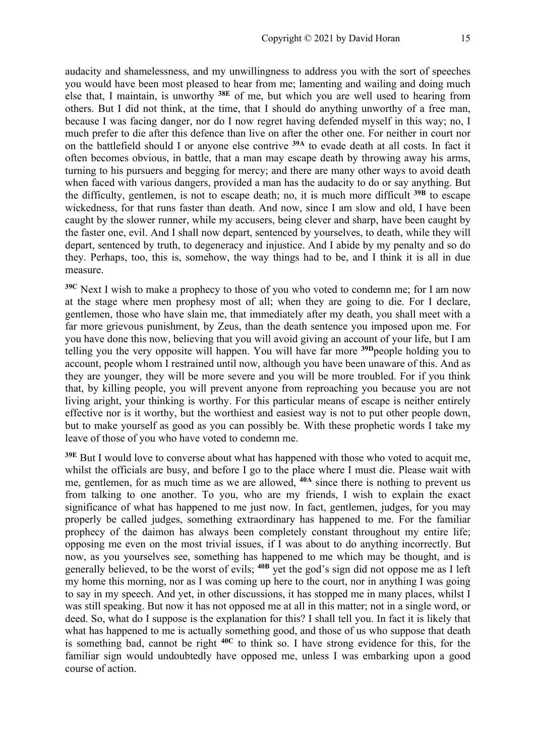audacity and shamelessness, and my unwillingness to address you with the sort of speeches you would have been most pleased to hear from me; lamenting and wailing and doing much else that, I maintain, is unworthy **38E** of me, but which you are well used to hearing from others. But I did not think, at the time, that I should do anything unworthy of a free man, because I was facing danger, nor do I now regret having defended myself in this way; no, I much prefer to die after this defence than live on after the other one. For neither in court nor on the battlefield should I or anyone else contrive **39A** to evade death at all costs. In fact it often becomes obvious, in battle, that a man may escape death by throwing away his arms, turning to his pursuers and begging for mercy; and there are many other ways to avoid death when faced with various dangers, provided a man has the audacity to do or say anything. But the difficulty, gentlemen, is not to escape death; no, it is much more difficult **39B** to escape wickedness, for that runs faster than death. And now, since I am slow and old, I have been caught by the slower runner, while my accusers, being clever and sharp, have been caught by the faster one, evil. And I shall now depart, sentenced by yourselves, to death, while they will depart, sentenced by truth, to degeneracy and injustice. And I abide by my penalty and so do they. Perhaps, too, this is, somehow, the way things had to be, and I think it is all in due measure.

**39C** Next I wish to make a prophecy to those of you who voted to condemn me; for I am now at the stage where men prophesy most of all; when they are going to die. For I declare, gentlemen, those who have slain me, that immediately after my death, you shall meet with a far more grievous punishment, by Zeus, than the death sentence you imposed upon me. For you have done this now, believing that you will avoid giving an account of your life, but I am telling you the very opposite will happen. You will have far more **39D**people holding you to account, people whom I restrained until now, although you have been unaware of this. And as they are younger, they will be more severe and you will be more troubled. For if you think that, by killing people, you will prevent anyone from reproaching you because you are not living aright, your thinking is worthy. For this particular means of escape is neither entirely effective nor is it worthy, but the worthiest and easiest way is not to put other people down, but to make yourself as good as you can possibly be. With these prophetic words I take my leave of those of you who have voted to condemn me.

**39E** But I would love to converse about what has happened with those who voted to acquit me, whilst the officials are busy, and before I go to the place where I must die. Please wait with me, gentlemen, for as much time as we are allowed, **40A** since there is nothing to prevent us from talking to one another. To you, who are my friends, I wish to explain the exact significance of what has happened to me just now. In fact, gentlemen, judges, for you may properly be called judges, something extraordinary has happened to me. For the familiar prophecy of the daimon has always been completely constant throughout my entire life; opposing me even on the most trivial issues, if I was about to do anything incorrectly. But now, as you yourselves see, something has happened to me which may be thought, and is generally believed, to be the worst of evils; **40B** yet the god's sign did not oppose me as I left my home this morning, nor as I was coming up here to the court, nor in anything I was going to say in my speech. And yet, in other discussions, it has stopped me in many places, whilst I was still speaking. But now it has not opposed me at all in this matter; not in a single word, or deed. So, what do I suppose is the explanation for this? I shall tell you. In fact it is likely that what has happened to me is actually something good, and those of us who suppose that death is something bad, cannot be right **40C** to think so. I have strong evidence for this, for the familiar sign would undoubtedly have opposed me, unless I was embarking upon a good course of action.